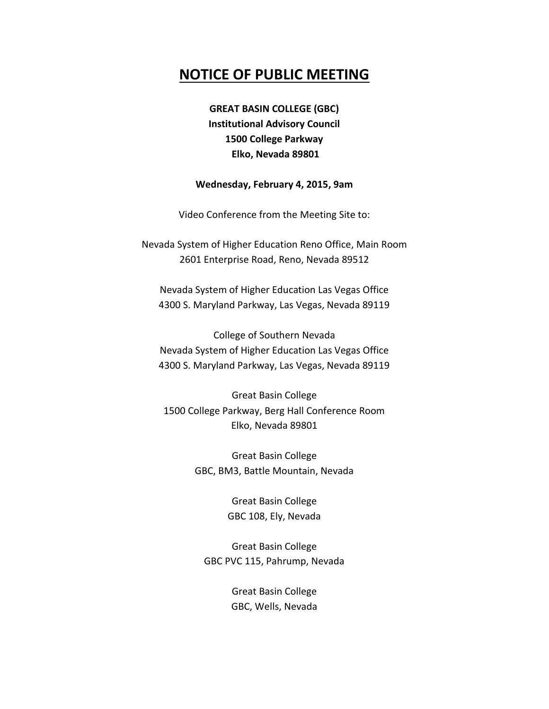# **NOTICE OF PUBLIC MEETING**

**GREAT BASIN COLLEGE (GBC) Institutional Advisory Council 1500 College Parkway Elko, Nevada 89801**

#### **Wednesday, February 4, 2015, 9am**

Video Conference from the Meeting Site to:

Nevada System of Higher Education Reno Office, Main Room 2601 Enterprise Road, Reno, Nevada 89512

Nevada System of Higher Education Las Vegas Office 4300 S. Maryland Parkway, Las Vegas, Nevada 89119

College of Southern Nevada Nevada System of Higher Education Las Vegas Office 4300 S. Maryland Parkway, Las Vegas, Nevada 89119

Great Basin College 1500 College Parkway, Berg Hall Conference Room Elko, Nevada 89801

> Great Basin College GBC, BM3, Battle Mountain, Nevada

> > Great Basin College GBC 108, Ely, Nevada

Great Basin College GBC PVC 115, Pahrump, Nevada

> Great Basin College GBC, Wells, Nevada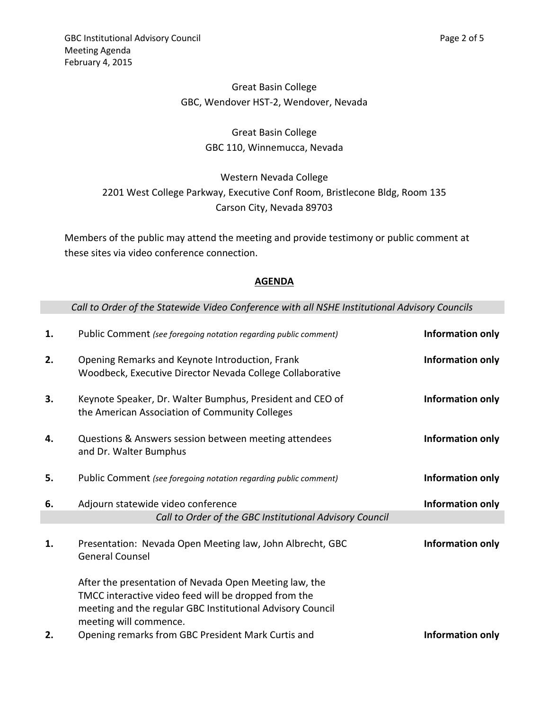## Great Basin College GBC, Wendover HST-2, Wendover, Nevada

# Great Basin College GBC 110, Winnemucca, Nevada

Western Nevada College 2201 West College Parkway, Executive Conf Room, Bristlecone Bldg, Room 135 Carson City, Nevada 89703

Members of the public may attend the meeting and provide testimony or public comment at these sites via video conference connection.

## **AGENDA**

### *Call to Order of the Statewide Video Conference with all NSHE Institutional Advisory Councils*

| 1. | Public Comment (see foregoing notation regarding public comment)                                                                                                             | Information only |
|----|------------------------------------------------------------------------------------------------------------------------------------------------------------------------------|------------------|
| 2. | Opening Remarks and Keynote Introduction, Frank<br>Woodbeck, Executive Director Nevada College Collaborative                                                                 | Information only |
| 3. | Keynote Speaker, Dr. Walter Bumphus, President and CEO of<br>the American Association of Community Colleges                                                                  | Information only |
| 4. | Questions & Answers session between meeting attendees<br>and Dr. Walter Bumphus                                                                                              | Information only |
| 5. | Public Comment (see foregoing notation regarding public comment)                                                                                                             | Information only |
| 6. | Adjourn statewide video conference                                                                                                                                           | Information only |
|    | Call to Order of the GBC Institutional Advisory Council                                                                                                                      |                  |
| 1. | Presentation: Nevada Open Meeting law, John Albrecht, GBC<br><b>General Counsel</b>                                                                                          | Information only |
|    | After the presentation of Nevada Open Meeting law, the<br>TMCC interactive video feed will be dropped from the<br>meeting and the regular GBC Institutional Advisory Council |                  |
| 2. | meeting will commence.<br>Opening remarks from GBC President Mark Curtis and                                                                                                 | Information only |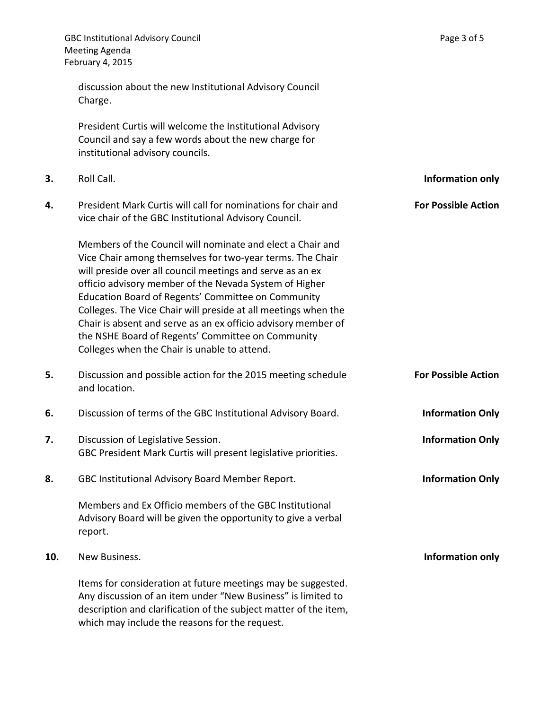|     | <b>GBC Institutional Advisory Council</b><br><b>Meeting Agenda</b><br>February 4, 2015                                                                                                                                                                                                                                                                                                                                                                                                                                                       | Page 3 of 5                |
|-----|----------------------------------------------------------------------------------------------------------------------------------------------------------------------------------------------------------------------------------------------------------------------------------------------------------------------------------------------------------------------------------------------------------------------------------------------------------------------------------------------------------------------------------------------|----------------------------|
|     | discussion about the new Institutional Advisory Council<br>Charge.                                                                                                                                                                                                                                                                                                                                                                                                                                                                           |                            |
|     | President Curtis will welcome the Institutional Advisory<br>Council and say a few words about the new charge for<br>institutional advisory councils.                                                                                                                                                                                                                                                                                                                                                                                         |                            |
| 3.  | Roll Call.                                                                                                                                                                                                                                                                                                                                                                                                                                                                                                                                   | <b>Information only</b>    |
| 4.  | President Mark Curtis will call for nominations for chair and<br>vice chair of the GBC Institutional Advisory Council.                                                                                                                                                                                                                                                                                                                                                                                                                       | <b>For Possible Action</b> |
|     | Members of the Council will nominate and elect a Chair and<br>Vice Chair among themselves for two-year terms. The Chair<br>will preside over all council meetings and serve as an ex<br>officio advisory member of the Nevada System of Higher<br>Education Board of Regents' Committee on Community<br>Colleges. The Vice Chair will preside at all meetings when the<br>Chair is absent and serve as an ex officio advisory member of<br>the NSHE Board of Regents' Committee on Community<br>Colleges when the Chair is unable to attend. |                            |
| 5.  | Discussion and possible action for the 2015 meeting schedule<br>and location.                                                                                                                                                                                                                                                                                                                                                                                                                                                                | <b>For Possible Action</b> |
| 6.  | Discussion of terms of the GBC Institutional Advisory Board.                                                                                                                                                                                                                                                                                                                                                                                                                                                                                 | <b>Information Only</b>    |
| 7.  | Discussion of Legislative Session.<br>GBC President Mark Curtis will present legislative priorities.                                                                                                                                                                                                                                                                                                                                                                                                                                         | <b>Information Only</b>    |
| 8.  | GBC Institutional Advisory Board Member Report.                                                                                                                                                                                                                                                                                                                                                                                                                                                                                              | <b>Information Only</b>    |
|     | Members and Ex Officio members of the GBC Institutional<br>Advisory Board will be given the opportunity to give a verbal<br>report.                                                                                                                                                                                                                                                                                                                                                                                                          |                            |
| 10. | New Business.                                                                                                                                                                                                                                                                                                                                                                                                                                                                                                                                | <b>Information only</b>    |
|     | Items for consideration at future meetings may be suggested.<br>Any discussion of an item under "New Business" is limited to<br>description and clarification of the subject matter of the item,<br>which may include the reasons for the request.                                                                                                                                                                                                                                                                                           |                            |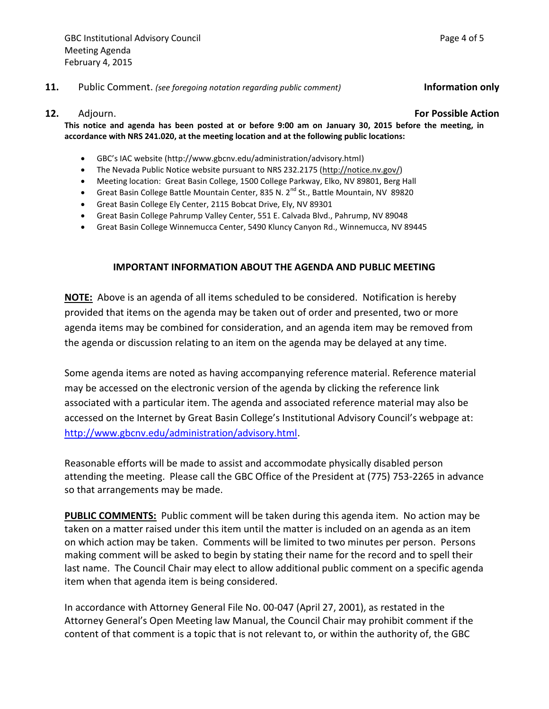#### **11.** Public Comment. *(see foregoing notation regarding public comment)* **Information only**

**12.** Adjourn. **For Possible Action**

**This notice and agenda has been posted at or before 9:00 am on January 30, 2015 before the meeting, in accordance with NRS 241.020, at the meeting location and at the following public locations:**

- GBC's IAC website (http://www.gbcnv.edu/administration/advisory.html)
- The Nevada Public Notice website pursuant to NRS 232.2175 [\(http://notice.nv.gov/\)](http://notice.nv.gov/)
- Meeting location: Great Basin College, 1500 College Parkway, Elko, NV 89801, Berg Hall
- Great Basin College Battle Mountain Center, 835 N. 2<sup>nd</sup> St., Battle Mountain, NV 89820
- Great Basin College Ely Center, 2115 Bobcat Drive, Ely, NV 89301
- Great Basin College Pahrump Valley Center, 551 E. Calvada Blvd., Pahrump, NV 89048
- Great Basin College Winnemucca Center, 5490 Kluncy Canyon Rd., Winnemucca, NV 89445

#### **IMPORTANT INFORMATION ABOUT THE AGENDA AND PUBLIC MEETING**

**NOTE:** Above is an agenda of all items scheduled to be considered. Notification is hereby provided that items on the agenda may be taken out of order and presented, two or more agenda items may be combined for consideration, and an agenda item may be removed from the agenda or discussion relating to an item on the agenda may be delayed at any time.

Some agenda items are noted as having accompanying reference material. Reference material may be accessed on the electronic version of the agenda by clicking the reference link associated with a particular item. The agenda and associated reference material may also be accessed on the Internet by Great Basin College's Institutional Advisory Council's webpage at: [http://www.gbcnv.edu/administration/advisory.html.](http://www.gbcnv.edu/administration/advisory.html)

Reasonable efforts will be made to assist and accommodate physically disabled person attending the meeting. Please call the GBC Office of the President at (775) 753-2265 in advance so that arrangements may be made.

**PUBLIC COMMENTS:** Public comment will be taken during this agenda item. No action may be taken on a matter raised under this item until the matter is included on an agenda as an item on which action may be taken. Comments will be limited to two minutes per person. Persons making comment will be asked to begin by stating their name for the record and to spell their last name. The Council Chair may elect to allow additional public comment on a specific agenda item when that agenda item is being considered.

In accordance with Attorney General File No. 00-047 (April 27, 2001), as restated in the Attorney General's Open Meeting law Manual, the Council Chair may prohibit comment if the content of that comment is a topic that is not relevant to, or within the authority of, the GBC